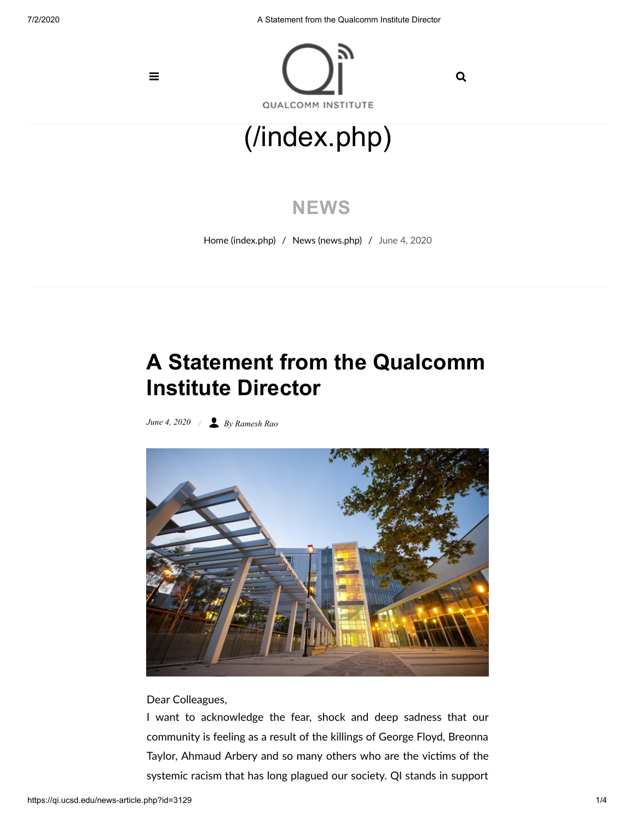$\equiv$ 

7/2/2020 A Statement from the Qualcomm Institute Director



# [\(/index.php\)](https://qi.ucsd.edu/index.php)

## **NEWS**

Home [\(index.php\)](https://qi.ucsd.edu/index.php) / News [\(news.php\)](https://qi.ucsd.edu/news.php) / June 4, 2020

# **A Statement from the Qualcomm Institute Director**

*June 4, 2020 / By Ramesh Rao*



#### Dear Colleagues,

I want to acknowledge the fear, shock and deep sadness that our community is feeling as a result of the killings of George Floyd, Breonna Taylor, Ahmaud Arbery and so many others who are the victims of the systemic racism that has long plagued our society. QI stands in support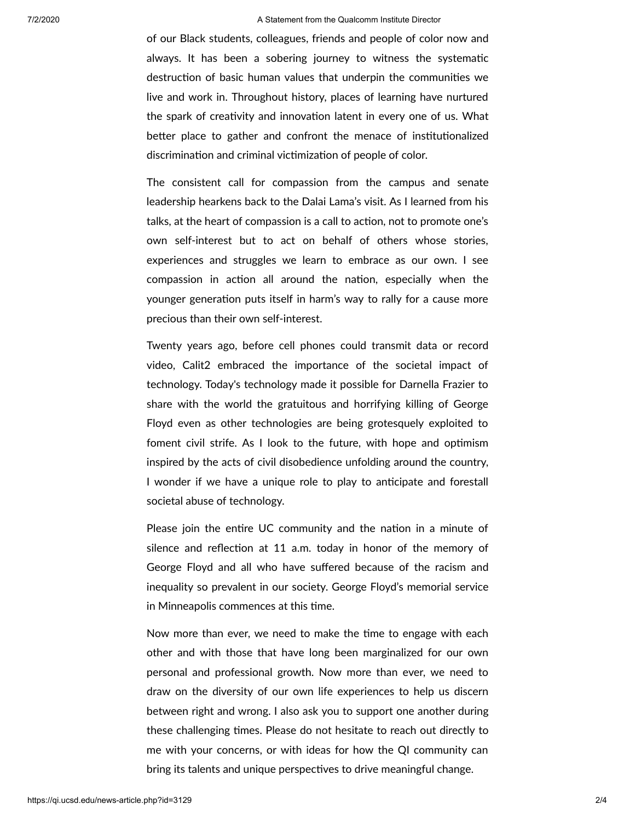#### 7/2/2020 A Statement from the Qualcomm Institute Director

of our Black students, colleagues, friends and people of color now and always. It has been a sobering journey to witness the systematic destruction of basic human values that underpin the communities we live and work in. Throughout history, places of learning have nurtured the spark of creativity and innovation latent in every one of us. What better place to gather and confront the menace of institutionalized discrimination and criminal victimization of people of color.

The consistent call for compassion from the campus and senate leadership hearkens back to the Dalai Lama's visit. As I learned from his talks, at the heart of compassion is a call to action, not to promote one's own self-interest but to act on behalf of others whose stories, experiences and struggles we learn to embrace as our own. I see compassion in action all around the nation, especially when the younger generation puts itself in harm's way to rally for a cause more precious than their own self-interest.

Twenty years ago, before cell phones could transmit data or record video, Calit2 embraced the importance of the societal impact of technology. Today's technology made it possible for Darnella Frazier to share with the world the gratuitous and horrifying killing of George Floyd even as other technologies are being grotesquely exploited to foment civil strife. As I look to the future, with hope and optimism inspired by the acts of civil disobedience unfolding around the country, I wonder if we have a unique role to play to anticipate and forestall societal abuse of technology.

Please join the entire UC community and the nation in a minute of silence and reflection at 11 a.m. today in honor of the memory of George Floyd and all who have suffered because of the racism and inequality so prevalent in our society. George Floyd's memorial service in Minneapolis commences at this time.

Now more than ever, we need to make the time to engage with each other and with those that have long been marginalized for our own personal and professional growth. Now more than ever, we need to draw on the diversity of our own life experiences to help us discern between right and wrong. I also ask you to support one another during these challenging times. Please do not hesitate to reach out directly to me with your concerns, or with ideas for how the QI community can bring its talents and unique perspectives to drive meaningful change.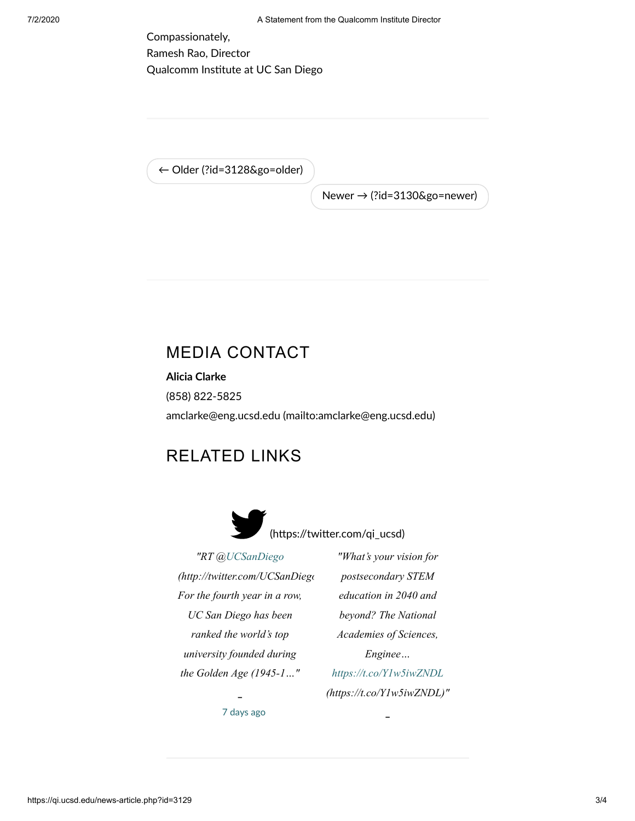Compassionately, Ramesh Rao, Director Qualcomm Institute at UC San Diego

← Older [\(?id=3128&go=older\)](https://qi.ucsd.edu/news-article.php?id=3128&go=older)

Newer → [\(?id=3130&go=newer\)](https://qi.ucsd.edu/news-article.php?id=3130&go=newer)

### MEDIA CONTACT

**Alicia Clarke** (858) 822-5825

amclarke@eng.ucsd.edu [\(mailto:amclarke@eng.ucsd.edu\)](mailto:amclarke@eng.ucsd.edu)

### RELATED LINKS



*"RT @UCSanDiego [\(http://twitter.com/UCSanDiego](http://twitter.com/UCSanDiego) For the fourth year in a row, UC San Diego has been ranked the world's top university founded during the Golden Age (1945-1…"*

*"What's your vision for postsecondary STEM education in 2040 and beyond? The National Academies of Sciences, Enginee… https://t.co/Y1w5iwZNDL [\(https://t.co/Y1w5iwZNDL\)](https://t.co/Y1w5iwZNDL)"*

**–**

**–** 7 [days](http://twitter.com/QI_UCSD/statuses/1276248218444038145) ago

https://qi.ucsd.edu/news-article.php?id=3129 3/4